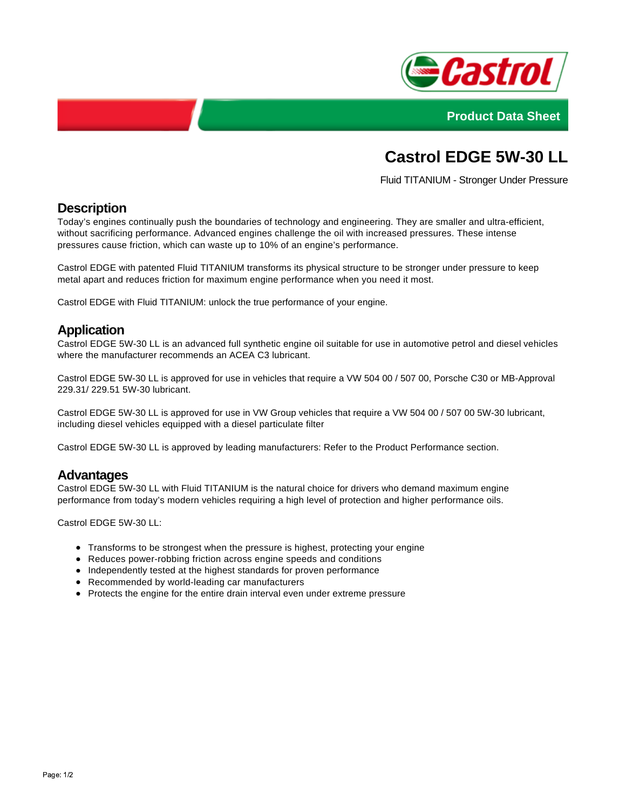



# **Castrol EDGE 5W-30 LL**

Fluid TITANIUM - Stronger Under Pressure

## **Description**

Today's engines continually push the boundaries of technology and engineering. They are smaller and ultra-efficient, without sacrificing performance. Advanced engines challenge the oil with increased pressures. These intense pressures cause friction, which can waste up to 10% of an engine's performance.

Castrol EDGE with patented Fluid TITANIUM transforms its physical structure to be stronger under pressure to keep metal apart and reduces friction for maximum engine performance when you need it most.

Castrol EDGE with Fluid TITANIUM: unlock the true performance of your engine.

### **Application**

Castrol EDGE 5W-30 LL is an advanced full synthetic engine oil suitable for use in automotive petrol and diesel vehicles where the manufacturer recommends an ACEA C3 lubricant.

Castrol EDGE 5W-30 LL is approved for use in vehicles that require a VW 504 00 / 507 00, Porsche C30 or MB-Approval 229.31/ 229.51 5W-30 lubricant.

Castrol EDGE 5W-30 LL is approved for use in VW Group vehicles that require a VW 504 00 / 507 00 5W-30 lubricant, including diesel vehicles equipped with a diesel particulate filter

Castrol EDGE 5W-30 LL is approved by leading manufacturers: Refer to the Product Performance section.

#### **Advantages**

Castrol EDGE 5W-30 LL with Fluid TITANIUM is the natural choice for drivers who demand maximum engine performance from today's modern vehicles requiring a high level of protection and higher performance oils.

Castrol EDGE 5W-30 LL:

- Transforms to be strongest when the pressure is highest, protecting your engine
- Reduces power-robbing friction across engine speeds and conditions
- Independently tested at the highest standards for proven performance
- Recommended by world-leading car manufacturers
- Protects the engine for the entire drain interval even under extreme pressure